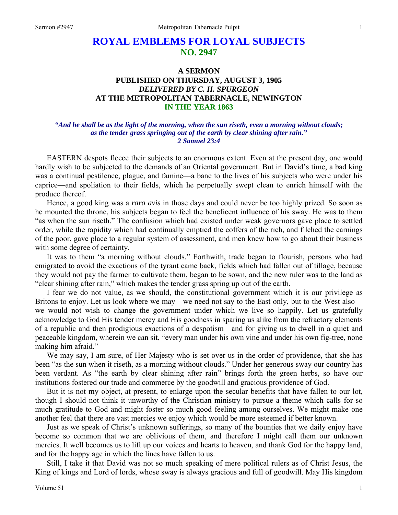# **ROYAL EMBLEMS FOR LOYAL SUBJECTS NO. 2947**

# **A SERMON PUBLISHED ON THURSDAY, AUGUST 3, 1905**  *DELIVERED BY C. H. SPURGEON*  **AT THE METROPOLITAN TABERNACLE, NEWINGTON IN THE YEAR 1863**

## *"And he shall be as the light of the morning, when the sun riseth, even a morning without clouds; as the tender grass springing out of the earth by clear shining after rain." 2 Samuel 23:4*

EASTERN despots fleece their subjects to an enormous extent. Even at the present day, one would hardly wish to be subjected to the demands of an Oriental government. But in David's time, a bad king was a continual pestilence, plague, and famine—a bane to the lives of his subjects who were under his caprice—and spoliation to their fields, which he perpetually swept clean to enrich himself with the produce thereof.

 Hence, a good king was a *rara avis* in those days and could never be too highly prized. So soon as he mounted the throne, his subjects began to feel the beneficent influence of his sway. He was to them "as when the sun riseth." The confusion which had existed under weak governors gave place to settled order, while the rapidity which had continually emptied the coffers of the rich, and filched the earnings of the poor, gave place to a regular system of assessment, and men knew how to go about their business with some degree of certainty.

 It was to them "a morning without clouds." Forthwith, trade began to flourish, persons who had emigrated to avoid the exactions of the tyrant came back, fields which had fallen out of tillage, because they would not pay the farmer to cultivate them, began to be sown, and the new ruler was to the land as "clear shining after rain," which makes the tender grass spring up out of the earth.

 I fear we do not value, as we should, the constitutional government which it is our privilege as Britons to enjoy. Let us look where we may—we need not say to the East only, but to the West also we would not wish to change the government under which we live so happily. Let us gratefully acknowledge to God His tender mercy and His goodness in sparing us alike from the refractory elements of a republic and then prodigious exactions of a despotism—and for giving us to dwell in a quiet and peaceable kingdom, wherein we can sit, "every man under his own vine and under his own fig-tree, none making him afraid."

 We may say, I am sure, of Her Majesty who is set over us in the order of providence, that she has been "as the sun when it riseth, as a morning without clouds." Under her generous sway our country has been verdant. As "the earth by clear shining after rain" brings forth the green herbs, so have our institutions fostered our trade and commerce by the goodwill and gracious providence of God.

 But it is not my object, at present, to enlarge upon the secular benefits that have fallen to our lot, though I should not think it unworthy of the Christian ministry to pursue a theme which calls for so much gratitude to God and might foster so much good feeling among ourselves. We might make one another feel that there are vast mercies we enjoy which would be more esteemed if better known.

 Just as we speak of Christ's unknown sufferings, so many of the bounties that we daily enjoy have become so common that we are oblivious of them, and therefore I might call them our unknown mercies. It well becomes us to lift up our voices and hearts to heaven, and thank God for the happy land, and for the happy age in which the lines have fallen to us.

 Still, I take it that David was not so much speaking of mere political rulers as of Christ Jesus, the King of kings and Lord of lords, whose sway is always gracious and full of goodwill. May His kingdom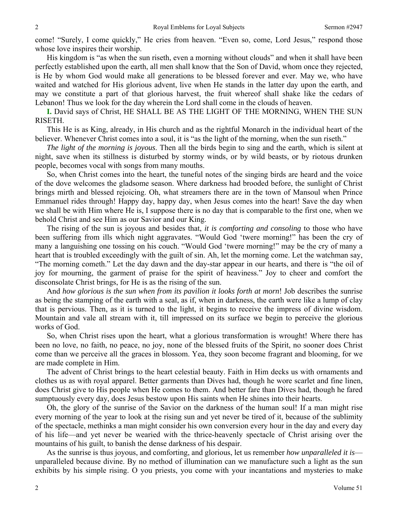come! "Surely, I come quickly," He cries from heaven. "Even so, come, Lord Jesus," respond those whose love inspires their worship.

 His kingdom is "as when the sun riseth, even a morning without clouds" and when it shall have been perfectly established upon the earth, all men shall know that the Son of David, whom once they rejected, is He by whom God would make all generations to be blessed forever and ever. May we, who have waited and watched for His glorious advent, live when He stands in the latter day upon the earth, and may we constitute a part of that glorious harvest, the fruit whereof shall shake like the cedars of Lebanon! Thus we look for the day wherein the Lord shall come in the clouds of heaven.

**I.** David says of Christ, HE SHALL BE AS THE LIGHT OF THE MORNING, WHEN THE SUN RISETH.

 This He is as King, already, in His church and as the rightful Monarch in the individual heart of the believer. Whenever Christ comes into a soul, it is "as the light of the morning, when the sun riseth."

*The light of the morning is joyous*. Then all the birds begin to sing and the earth, which is silent at night, save when its stillness is disturbed by stormy winds, or by wild beasts, or by riotous drunken people, becomes vocal with songs from many mouths.

 So, when Christ comes into the heart, the tuneful notes of the singing birds are heard and the voice of the dove welcomes the gladsome season. Where darkness had brooded before, the sunlight of Christ brings mirth and blessed rejoicing. Oh, what streamers there are in the town of Mansoul when Prince Emmanuel rides through! Happy day, happy day, when Jesus comes into the heart! Save the day when we shall be with Him where He is, I suppose there is no day that is comparable to the first one, when we behold Christ and see Him as our Savior and our King.

 The rising of the sun is joyous and besides that, *it is comforting and consoling* to those who have been suffering from ills which night aggravates. "Would God 'twere morning!" has been the cry of many a languishing one tossing on his couch. "Would God 'twere morning!" may be the cry of many a heart that is troubled exceedingly with the guilt of sin. Ah, let the morning come. Let the watchman say, "The morning cometh." Let the day dawn and the day-star appear in our hearts, and there is "the oil of joy for mourning, the garment of praise for the spirit of heaviness." Joy to cheer and comfort the disconsolate Christ brings, for He is as the rising of the sun.

 And *how glorious is the sun when from its pavilion it looks forth at morn*! Job describes the sunrise as being the stamping of the earth with a seal, as if, when in darkness, the earth were like a lump of clay that is pervious. Then, as it is turned to the light, it begins to receive the impress of divine wisdom. Mountain and vale all stream with it, till impressed on its surface we begin to perceive the glorious works of God.

 So, when Christ rises upon the heart, what a glorious transformation is wrought! Where there has been no love, no faith, no peace, no joy, none of the blessed fruits of the Spirit, no sooner does Christ come than we perceive all the graces in blossom. Yea, they soon become fragrant and blooming, for we are made complete in Him.

 The advent of Christ brings to the heart celestial beauty. Faith in Him decks us with ornaments and clothes us as with royal apparel. Better garments than Dives had, though he wore scarlet and fine linen, does Christ give to His people when He comes to them. And better fare than Dives had, though he fared sumptuously every day, does Jesus bestow upon His saints when He shines into their hearts.

 Oh, the glory of the sunrise of the Savior on the darkness of the human soul! If a man might rise every morning of the year to look at the rising sun and yet never be tired of it, because of the sublimity of the spectacle, methinks a man might consider his own conversion every hour in the day and every day of his life—and yet never be wearied with the thrice-heavenly spectacle of Christ arising over the mountains of his guilt, to banish the dense darkness of his despair.

 As the sunrise is thus joyous, and comforting, and glorious, let us remember *how unparalleled it is* unparalleled because divine. By no method of illumination can we manufacture such a light as the sun exhibits by his simple rising. O you priests, you come with your incantations and mysteries to make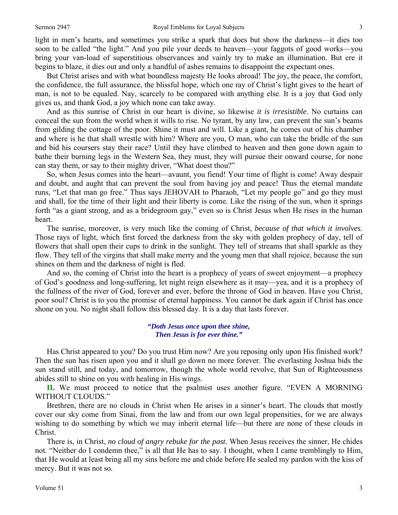light in men's hearts, and sometimes you strike a spark that does but show the darkness—it dies too soon to be called "the light." And you pile your deeds to heaven—your faggots of good works—you bring your van-load of superstitious observances and vainly try to make an illumination. But ere it begins to blaze, it dies out and only a handful of ashes remains to disappoint the expectant ones.

 But Christ arises and with what boundless majesty He looks abroad! The joy, the peace, the comfort, the confidence, the full assurance, the blissful hope, which one ray of Christ's light gives to the heart of man, is not to be equaled. Nay, scarcely to be compared with anything else. It is a joy that God only gives us, and thank God, a joy which none can take away.

 And as this sunrise of Christ in our heart is divine, so likewise *it is irresistible*. No curtains can conceal the sun from the world when it wills to rise. No tyrant, by any law, can prevent the sun's beams from gilding the cottage of the poor. Shine it must and will. Like a giant, he comes out of his chamber and where is he that shall wrestle with him? Where are you, O man, who can take the bridle of the sun and bid his coursers stay their race? Until they have climbed to heaven and then gone down again to bathe their burning legs in the Western Sea, they must, they will pursue their onward course, for none can stay them, or say to their mighty driver, "What doest thou?"

 So, when Jesus comes into the heart—avaunt, you fiend! Your time of flight is come! Away despair and doubt, and aught that can prevent the soul from having joy and peace! Thus the eternal mandate runs, "Let that man go free." Thus says JEHOVAH to Pharaoh, "Let my people go" and go they must and shall, for the time of their light and their liberty is come. Like the rising of the sun, when it springs forth "as a giant strong, and as a bridegroom gay," even so is Christ Jesus when He rises in the human heart.

 The sunrise, moreover, is very much like the coming of Christ, *because of that which it involves*. Those rays of light, which first forced the darkness from the sky with golden prophecy of day, tell of flowers that shall open their cups to drink in the sunlight. They tell of streams that shall sparkle as they flow. They tell of the virgins that shall make merry and the young men that shall rejoice, because the sun shines on them and the darkness of night is fled.

 And so, the coming of Christ into the heart is a prophecy of years of sweet enjoyment—a prophecy of God's goodness and long-suffering, let night reign elsewhere as it may—yea, and it is a prophecy of the fullness of the river of God, forever and ever, before the throne of God in heaven. Have you Christ, poor soul? Christ is to you the promise of eternal happiness. You cannot be dark again if Christ has once shone on you. No night shall follow this blessed day. It is a day that lasts forever.

> *"Doth Jesus once upon thee shine, Then Jesus is for ever thine."*

Has Christ appeared to you? Do you trust Him now? Are you reposing only upon His finished work? Then the sun has risen upon you and it shall go down no more forever. The everlasting Joshua bids the sun stand still, and today, and tomorrow, though the whole world revolve, that Sun of Righteousness abides still to shine on you with healing in His wings.

**II.** We must proceed to notice that the psalmist uses another figure. "EVEN A MORNING WITHOUT CLOUDS."

 Brethren, there are no clouds in Christ when He arises in a sinner's heart. The clouds that mostly cover our sky come from Sinai, from the law and from our own legal propensities, for we are always wishing to do something by which we may inherit eternal life—but there are none of these clouds in Christ.

 There is, in Christ, *no cloud of angry rebuke for the past*. When Jesus receives the sinner, He chides not. "Neither do I condemn thee," is all that He has to say. I thought, when I came tremblingly to Him, that He would at least bring all my sins before me and chide before He sealed my pardon with the kiss of mercy. But it was not so.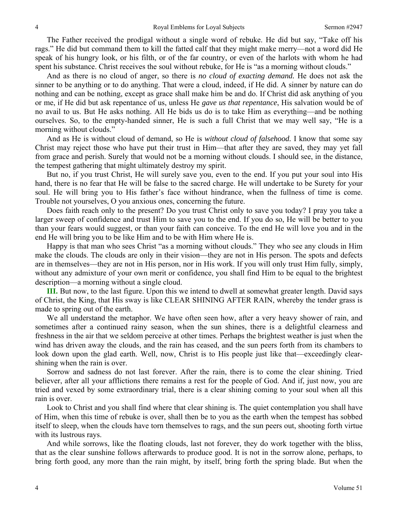The Father received the prodigal without a single word of rebuke. He did but say, "Take off his rags." He did but command them to kill the fatted calf that they might make merry—not a word did He speak of his hungry look, or his filth, or of the far country, or even of the harlots with whom he had spent his substance. Christ receives the soul without rebuke, for He is "as a morning without clouds."

 And as there is no cloud of anger, so there is *no cloud of exacting demand.* He does not ask the sinner to be anything or to do anything. That were a cloud, indeed, if He did. A sinner by nature can do nothing and can be nothing, except as grace shall make him be and do. If Christ did ask anything of you or me, if He did but ask repentance of us, unless He *gave us that repentance*, His salvation would be of no avail to us. But He asks nothing. All He bids us do is to take Him as everything—and be nothing ourselves. So, to the empty-handed sinner, He is such a full Christ that we may well say, "He is a morning without clouds."

 And as He is without cloud of demand, so He is *without cloud of falsehood.* I know that some say Christ may reject those who have put their trust in Him—that after they are saved, they may yet fall from grace and perish. Surely that would not be a morning without clouds. I should see, in the distance, the tempest gathering that might ultimately destroy my spirit.

 But no, if you trust Christ, He will surely save you, even to the end. If you put your soul into His hand, there is no fear that He will be false to the sacred charge. He will undertake to be Surety for your soul. He will bring you to His father's face without hindrance, when the fullness of time is come. Trouble not yourselves, O you anxious ones, concerning the future.

 Does faith reach only to the present? Do you trust Christ only to save you today? I pray you take a larger sweep of confidence and trust Him to save you to the end. If you do so, He will be better to you than your fears would suggest, or than your faith can conceive. To the end He will love you and in the end He will bring you to be like Him and to be with Him where He is.

 Happy is that man who sees Christ "as a morning without clouds." They who see any clouds in Him make the clouds. The clouds are only in their vision—they are not in His person. The spots and defects are in themselves—they are not in His person, nor in His work. If you will only trust Him fully, simply, without any admixture of your own merit or confidence, you shall find Him to be equal to the brightest description—a morning without a single cloud.

**III.** But now, to the last figure. Upon this we intend to dwell at somewhat greater length. David says of Christ, the King, that His sway is like CLEAR SHINING AFTER RAIN, whereby the tender grass is made to spring out of the earth.

 We all understand the metaphor. We have often seen how, after a very heavy shower of rain, and sometimes after a continued rainy season, when the sun shines, there is a delightful clearness and freshness in the air that we seldom perceive at other times. Perhaps the brightest weather is just when the wind has driven away the clouds, and the rain has ceased, and the sun peers forth from its chambers to look down upon the glad earth. Well, now, Christ is to His people just like that—exceedingly clearshining when the rain is over.

 Sorrow and sadness do not last forever. After the rain, there is to come the clear shining. Tried believer, after all your afflictions there remains a rest for the people of God. And if, just now, you are tried and vexed by some extraordinary trial, there is a clear shining coming to your soul when all this rain is over.

 Look to Christ and you shall find where that clear shining is. The quiet contemplation you shall have of Him, when this time of rebuke is over, shall then be to you as the earth when the tempest has sobbed itself to sleep, when the clouds have torn themselves to rags, and the sun peers out, shooting forth virtue with its lustrous rays.

 And while sorrows, like the floating clouds, last not forever, they do work together with the bliss, that as the clear sunshine follows afterwards to produce good. It is not in the sorrow alone, perhaps, to bring forth good, any more than the rain might, by itself, bring forth the spring blade. But when the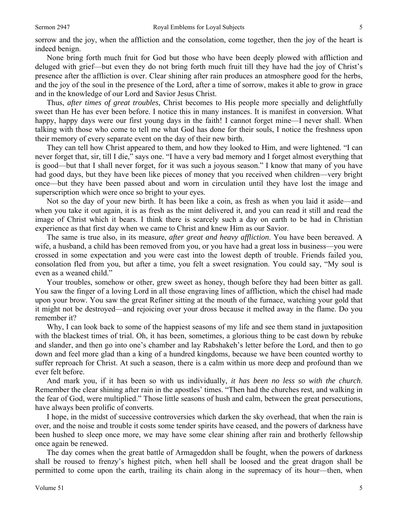sorrow and the joy, when the affliction and the consolation, come together, then the joy of the heart is indeed benign.

 None bring forth much fruit for God but those who have been deeply plowed with affliction and deluged with grief—but even they do not bring forth much fruit till they have had the joy of Christ's presence after the affliction is over. Clear shining after rain produces an atmosphere good for the herbs, and the joy of the soul in the presence of the Lord, after a time of sorrow, makes it able to grow in grace and in the knowledge of our Lord and Savior Jesus Christ.

 Thus, *after times of great troubles*, Christ becomes to His people more specially and delightfully sweet than He has ever been before. I notice this in many instances. It is manifest in conversion. What happy, happy days were our first young days in the faith! I cannot forget mine—I never shall. When talking with those who come to tell me what God has done for their souls, I notice the freshness upon their memory of every separate event on the day of their new birth.

 They can tell how Christ appeared to them, and how they looked to Him, and were lightened. "I can never forget that, sir, till I die," says one. "I have a very bad memory and I forget almost everything that is good—but that I shall never forget, for it was such a joyous season." I know that many of you have had good days, but they have been like pieces of money that you received when children—very bright once—but they have been passed about and worn in circulation until they have lost the image and superscription which were once so bright to your eyes.

 Not so the day of your new birth. It has been like a coin, as fresh as when you laid it aside—and when you take it out again, it is as fresh as the mint delivered it, and you can read it still and read the image of Christ which it bears. I think there is scarcely such a day on earth to be had in Christian experience as that first day when we came to Christ and knew Him as our Savior.

 The same is true also, in its measure, *after great and heavy affliction*. You have been bereaved. A wife, a husband, a child has been removed from you, or you have had a great loss in business—you were crossed in some expectation and you were cast into the lowest depth of trouble. Friends failed you, consolation fled from you, but after a time, you felt a sweet resignation. You could say, "My soul is even as a weaned child."

 Your troubles, somehow or other, grew sweet as honey, though before they had been bitter as gall. You saw the finger of a loving Lord in all those engraving lines of affliction, which the chisel had made upon your brow. You saw the great Refiner sitting at the mouth of the furnace, watching your gold that it might not be destroyed—and rejoicing over your dross because it melted away in the flame. Do you remember it?

 Why, I can look back to some of the happiest seasons of my life and see them stand in juxtaposition with the blackest times of trial. Oh, it has been, sometimes, a glorious thing to be cast down by rebuke and slander, and then go into one's chamber and lay Rabshakeh's letter before the Lord, and then to go down and feel more glad than a king of a hundred kingdoms, because we have been counted worthy to suffer reproach for Christ. At such a season, there is a calm within us more deep and profound than we ever felt before.

 And mark you, if it has been so with us individually, *it has been no less so with the church*. Remember the clear shining after rain in the apostles' times. "Then had the churches rest, and walking in the fear of God, were multiplied." Those little seasons of hush and calm, between the great persecutions, have always been prolific of converts.

 I hope, in the midst of successive controversies which darken the sky overhead, that when the rain is over, and the noise and trouble it costs some tender spirits have ceased, and the powers of darkness have been hushed to sleep once more, we may have some clear shining after rain and brotherly fellowship once again be renewed.

 The day comes when the great battle of Armageddon shall be fought, when the powers of darkness shall be roused to frenzy's highest pitch, when hell shall be loosed and the great dragon shall be permitted to come upon the earth, trailing its chain along in the supremacy of its hour—then, when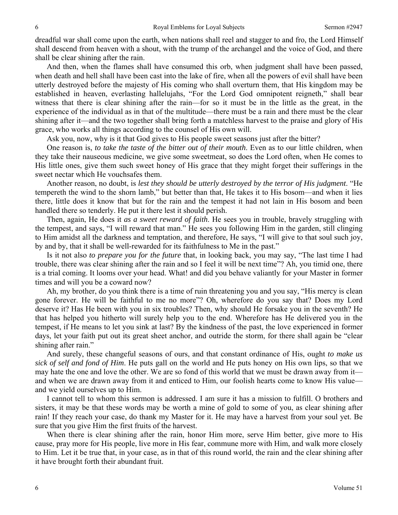dreadful war shall come upon the earth, when nations shall reel and stagger to and fro, the Lord Himself shall descend from heaven with a shout, with the trump of the archangel and the voice of God, and there shall be clear shining after the rain.

 And then, when the flames shall have consumed this orb, when judgment shall have been passed, when death and hell shall have been cast into the lake of fire, when all the powers of evil shall have been utterly destroyed before the majesty of His coming who shall overturn them, that His kingdom may be established in heaven, everlasting hallelujahs, "For the Lord God omnipotent reigneth," shall bear witness that there is clear shining after the rain—for so it must be in the little as the great, in the experience of the individual as in that of the multitude—there must be a rain and there must be the clear shining after it—and the two together shall bring forth a matchless harvest to the praise and glory of His grace, who works all things according to the counsel of His own will.

Ask you, now, why is it that God gives to His people sweet seasons just after the bitter?

 One reason is, *to take the taste of the bitter out of their mouth*. Even as to our little children, when they take their nauseous medicine, we give some sweetmeat, so does the Lord often, when He comes to His little ones, give them such sweet honey of His grace that they might forget their sufferings in the sweet nectar which He vouchsafes them.

 Another reason, no doubt, is *lest they should be utterly destroyed by the terror of His judgment*. "He tempereth the wind to the shorn lamb," but better than that, He takes it to His bosom—and when it lies there, little does it know that but for the rain and the tempest it had not lain in His bosom and been handled there so tenderly. He put it there lest it should perish.

 Then, again, He does it *as a sweet reward of faith*. He sees you in trouble, bravely struggling with the tempest, and says, "I will reward that man." He sees you following Him in the garden, still clinging to Him amidst all the darkness and temptation, and therefore, He says, "I will give to that soul such joy, by and by, that it shall be well-rewarded for its faithfulness to Me in the past."

 Is it not also *to prepare you for the future* that, in looking back, you may say, "The last time I had trouble, there was clear shining after the rain and so I feel it will be next time"? Ah, you timid one, there is a trial coming. It looms over your head. What! and did you behave valiantly for your Master in former times and will you be a coward now?

 Ah, my brother, do you think there is a time of ruin threatening you and you say, "His mercy is clean gone forever. He will be faithful to me no more"? Oh, wherefore do you say that? Does my Lord deserve it? Has He been with you in six troubles? Then, why should He forsake you in the seventh? He that has helped you hitherto will surely help you to the end. Wherefore has He delivered you in the tempest, if He means to let you sink at last? By the kindness of the past, the love experienced in former days, let your faith put out its great sheet anchor, and outride the storm, for there shall again be "clear shining after rain."

 And surely, these changeful seasons of ours, and that constant ordinance of His, ought *to make us sick of self and fond of Him*. He puts gall on the world and He puts honey on His own lips, so that we may hate the one and love the other. We are so fond of this world that we must be drawn away from it and when we are drawn away from it and enticed to Him, our foolish hearts come to know His value and we yield ourselves up to Him.

 I cannot tell to whom this sermon is addressed. I am sure it has a mission to fulfill. O brothers and sisters, it may be that these words may be worth a mine of gold to some of you, as clear shining after rain! If they reach your case, do thank my Master for it. He may have a harvest from your soul yet. Be sure that you give Him the first fruits of the harvest.

 When there is clear shining after the rain, honor Him more, serve Him better, give more to His cause, pray more for His people, live more in His fear, commune more with Him, and walk more closely to Him. Let it be true that, in your case, as in that of this round world, the rain and the clear shining after it have brought forth their abundant fruit.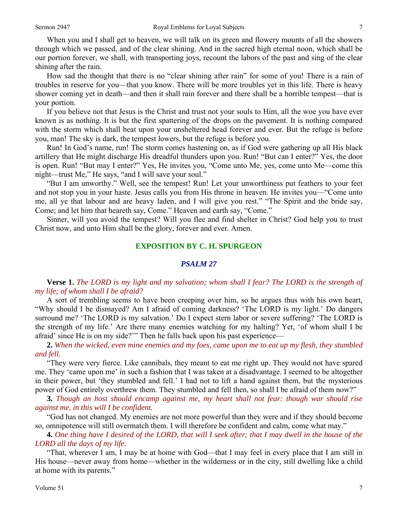When you and I shall get to heaven, we will talk on its green and flowery mounts of all the showers through which we passed, and of the clear shining. And in the sacred high eternal noon, which shall be our portion forever, we shall, with transporting joys, recount the labors of the past and sing of the clear shining after the rain.

 How sad the thought that there is no "clear shining after rain" for some of you! There is a rain of troubles in reserve for you—that you know. There will be more troubles yet in this life. There is heavy shower coming yet in death—and then it shall rain forever and there shall be a horrible tempest—that is your portion.

 If you believe not that Jesus is the Christ and trust not your souls to Him, all the woe you have ever known is as nothing. It is but the first spattering of the drops on the pavement. It is nothing compared with the storm which shall beat upon your unsheltered head forever and ever. But the refuge is before you, man! The sky is dark, the tempest lowers, but the refuge is before you.

 Run! In God's name, run! The storm comes hastening on, as if God were gathering up all His black artillery that He might discharge His dreadful thunders upon you. Run! "But can I enter?" Yes, the door is open. Run! "But may I enter?" Yes, He invites you, "Come unto Me, yes, come unto Me—come this night—trust Me," He says, "and I will save your soul."

 "But I am unworthy." Well, see the tempest! Run! Let your unworthiness put feathers to your feet and not stop you in your haste. Jesus calls you from His throne in heaven. He invites you—"Come unto me, all ye that labour and are heavy laden, and I will give you rest." "The Spirit and the bride say, Come; and let him that heareth say, Come." Heaven and earth say, "Come."

 Sinner, will you avoid the tempest? Will you flee and find shelter in Christ? God help you to trust Christ now, and unto Him shall be the glory, forever and ever. Amen.

## **EXPOSITION BY C. H. SPURGEON**

#### *PSALM 27*

# **Verse 1.** *The LORD is my light and my salvation; whom shall I fear? The LORD is the strength of my life; of whom shall I be afraid?*

A sort of trembling seems to have been creeping over him, so he argues thus with his own heart, "Why should I be dismayed? Am I afraid of coming darkness? 'The LORD is my light.' Do dangers surround me? 'The LORD is my salvation.' Do I expect stern labor or severe suffering? 'The LORD is the strength of my life.' Are there many enemies watching for my halting? Yet, 'of whom shall I be afraid' since He is on my side?'" Then he falls back upon his past experience—

**2.** *When the wicked, even mine enemies and my foes, came upon me to eat up my flesh, they stumbled and fell.* 

"They were very fierce. Like cannibals, they meant to eat me right up. They would not have spared me. They 'came upon me' in such a fashion that I was taken at a disadvantage. I seemed to be altogether in their power, but 'they stumbled and fell.' I had not to lift a hand against them, but the mysterious power of God entirely overthrew them. They stumbled and fell then, so shall I be afraid of them now?"

**3.** *Though an host should encamp against me, my heart shall not fear: though war should rise against me, in this will I be confident.* 

"God has not changed. My enemies are not more powerful than they were and if they should become so, omnipotence will still overmatch them. I will therefore be confident and calm, come what may."

**4.** *One thing have I desired of the LORD, that will I seek after; that I may dwell in the house of the LORD all the days of my life.* 

"That, wherever I am, I may be at home with God—that I may feel in every place that I am still in His house—never away from home—whether in the wilderness or in the city, still dwelling like a child at home with its parents."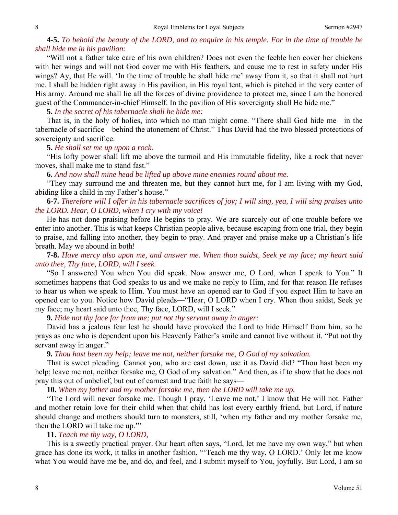**4-5.** *To behold the beauty of the LORD, and to enquire in his temple. For in the time of trouble he shall hide me in his pavilion:* 

"Will not a father take care of his own children? Does not even the feeble hen cover her chickens with her wings and will not God cover me with His feathers, and cause me to rest in safety under His wings? Ay, that He will. 'In the time of trouble he shall hide me' away from it, so that it shall not hurt me. I shall be hidden right away in His pavilion, in His royal tent, which is pitched in the very center of His army. Around me shall lie all the forces of divine providence to protect me, since I am the honored guest of the Commander-in-chief Himself. In the pavilion of His sovereignty shall He hide me."

**5.** *In the secret of his tabernacle shall he hide me:* 

That is, in the holy of holies, into which no man might come. "There shall God hide me—in the tabernacle of sacrifice—behind the atonement of Christ." Thus David had the two blessed protections of sovereignty and sacrifice.

**5.** *He shall set me up upon a rock.* 

"His lofty power shall lift me above the turmoil and His immutable fidelity, like a rock that never moves, shall make me to stand fast."

**6.** *And now shall mine head be lifted up above mine enemies round about me.* 

"They may surround me and threaten me, but they cannot hurt me, for I am living with my God, abiding like a child in my Father's house."

**6-7.** *Therefore will I offer in his tabernacle sacrifices of joy; I will sing, yea, I will sing praises unto the LORD. Hear, O LORD, when I cry with my voice!* 

He has not done praising before He begins to pray. We are scarcely out of one trouble before we enter into another. This is what keeps Christian people alive, because escaping from one trial, they begin to praise, and falling into another, they begin to pray. And prayer and praise make up a Christian's life breath. May we abound in both!

**7-8.** *Have mercy also upon me, and answer me. When thou saidst, Seek ye my face; my heart said unto thee, Thy face, LORD, will I seek.* 

"So I answered You when You did speak. Now answer me, O Lord, when I speak to You." It sometimes happens that God speaks to us and we make no reply to Him, and for that reason He refuses to hear us when we speak to Him. You must have an opened ear to God if you expect Him to have an opened ear to you. Notice how David pleads—"Hear, O LORD when I cry. When thou saidst, Seek ye my face; my heart said unto thee, Thy face, LORD, will I seek."

**9.** *Hide not thy face far from me; put not thy servant away in anger:* 

David has a jealous fear lest he should have provoked the Lord to hide Himself from him, so he prays as one who is dependent upon his Heavenly Father's smile and cannot live without it. "Put not thy servant away in anger."

**9.** *Thou hast been my help; leave me not, neither forsake me, O God of my salvation.* 

That is sweet pleading. Cannot you, who are cast down, use it as David did? "Thou hast been my help; leave me not, neither forsake me, O God of my salvation." And then, as if to show that he does not pray this out of unbelief, but out of earnest and true faith he says—

**10.** *When my father and my mother forsake me, then the LORD will take me up.* 

"The Lord will never forsake me. Though I pray, 'Leave me not,' I know that He will not. Father and mother retain love for their child when that child has lost every earthly friend, but Lord, if nature should change and mothers should turn to monsters, still, 'when my father and my mother forsake me, then the LORD will take me up."

## **11.** *Teach me thy way, O LORD,*

This is a sweetly practical prayer. Our heart often says, "Lord, let me have my own way," but when grace has done its work, it talks in another fashion, "'Teach me thy way, O LORD.' Only let me know what You would have me be, and do, and feel, and I submit myself to You, joyfully. But Lord, I am so